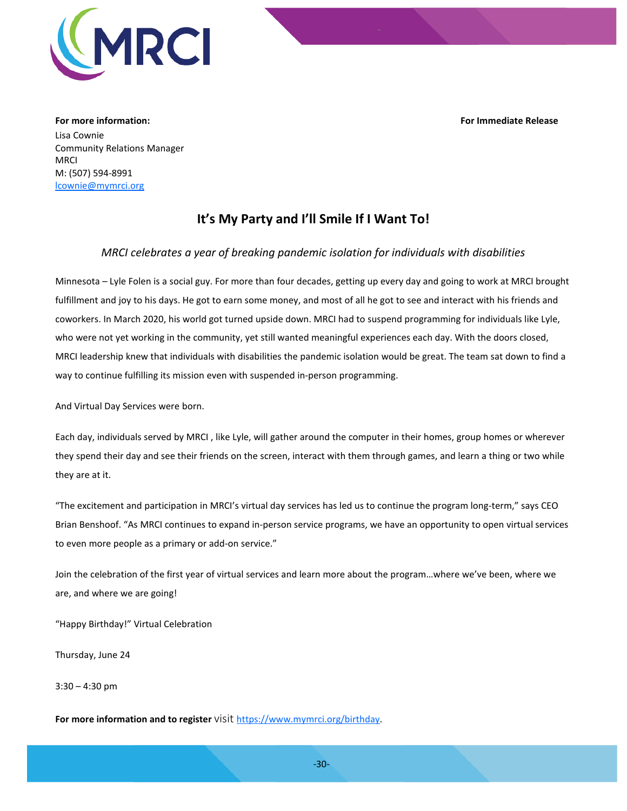**For more information: For Immediate Release**



Lisa Cownie Community Relations Manager MRCI M: (507) 594-8991 [lcownie@mymrci.org](mailto:lcownie@mymrci.org)

## **It's My Party and I'll Smile If I Want To!**

## *MRCI celebrates a year of breaking pandemic isolation for individuals with disabilities*

Minnesota – Lyle Folen is a social guy. For more than four decades, getting up every day and going to work at MRCI brought fulfillment and joy to his days. He got to earn some money, and most of all he got to see and interact with his friends and coworkers. In March 2020, his world got turned upside down. MRCI had to suspend programming for individuals like Lyle, who were not yet working in the community, yet still wanted meaningful experiences each day. With the doors closed, MRCI leadership knew that individuals with disabilities the pandemic isolation would be great. The team sat down to find a way to continue fulfilling its mission even with suspended in-person programming.

And Virtual Day Services were born.

Each day, individuals served by MRCI , like Lyle, will gather around the computer in their homes, group homes or wherever they spend their day and see their friends on the screen, interact with them through games, and learn a thing or two while they are at it.

"The excitement and participation in MRCI's virtual day services has led us to continue the program long-term," says CEO Brian Benshoof. "As MRCI continues to expand in-person service programs, we have an opportunity to open virtual services to even more people as a primary or add-on service."

Join the celebration of the first year of virtual services and learn more about the program…where we've been, where we are, and where we are going!

"Happy Birthday!" Virtual Celebration

Thursday, June 24

3:30 – 4:30 pm

**For more information and to register** visit [https://www.mymrci.org/birthday.](https://www.mymrci.org/birthday)